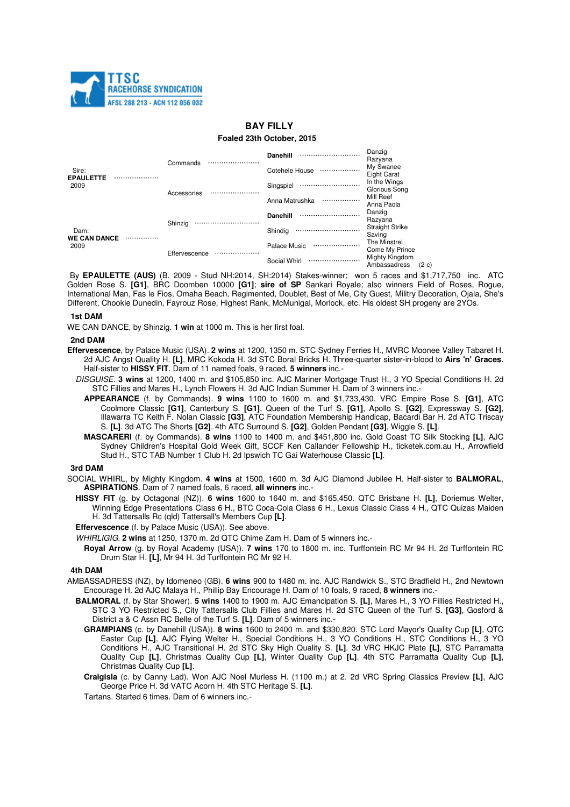

# **BAY FILLY**

### **Foaled 23th October, 2015**

| Sire:<br><b>EPAULETTE</b><br>2009       | Commands      | Danehill<br>       | Danzig<br>Razyana                         |
|-----------------------------------------|---------------|--------------------|-------------------------------------------|
|                                         |               | Cotehele House<br> | My Swanee<br><b>Eight Carat</b>           |
|                                         | Accessories   | Singspiel          | In the Wings<br>Glorious Song             |
|                                         |               | Anna Matrushka<br> | Mill Reef<br>Anna Paola                   |
| Dam:<br><b>WE CAN DANCE</b><br><br>2009 | Shinzig       | Danehill           | Danzig<br>Razyana                         |
|                                         |               | Shindig<br>        | <b>Straight Strike</b><br>Saving          |
|                                         | Effervescence | Palace Music<br>   | The Minstrel<br>Come My Prince            |
|                                         |               | Social Whirl<br>   | Mighty Kingdom<br>Ambassadress<br>$(2-c)$ |

By **EPAULETTE (AUS)** (B. 2009 - Stud NH:2014, SH:2014) Stakes-winner; won 5 races and \$1,717,750 inc. ATC Golden Rose S. **[G1]**, BRC Doomben 10000 **[G1]**; **sire of SP** Sankari Royale; also winners Field of Roses, Rogue, International Man, Fas le Fios, Omaha Beach, Regimented, Doublet, Best of Me, City Guest, Militry Decoration, Ojala, She's Different, Chookie Dunedin, Fayrouz Rose, Highest Rank, McMunigal, Morlock, etc. His oldest SH progeny are 2YOs.

## **1st DAM**

WE CAN DANCE, by Shinzig. **1 win** at 1000 m. This is her first foal.

### **2nd DAM**

- **Effervescence**, by Palace Music (USA). **2 wins** at 1200, 1350 m. STC Sydney Ferries H., MVRC Moonee Valley Tabaret H. 2d AJC Angst Quality H. **[L]**, MRC Kokoda H. 3d STC Boral Bricks H. Three-quarter sister-in-blood to **Airs 'n' Graces**. Half-sister to **HISSY FIT**. Dam of 11 named foals, 9 raced, **5 winners** inc.-
	- DISGUISE. **3 wins** at 1200, 1400 m. and \$105,850 inc. AJC Mariner Mortgage Trust H., 3 YO Special Conditions H. 2d STC Fillies and Mares H., Lynch Flowers H. 3d AJC Indian Summer H. Dam of 3 winners inc.-
		- **APPEARANCE** (f. by Commands). **9 wins** 1100 to 1600 m. and \$1,733,430. VRC Empire Rose S. **[G1]**, ATC Coolmore Classic **[G1]**, Canterbury S. **[G1]**, Queen of the Turf S. **[G1]**, Apollo S. **[G2]**, Expressway S. **[G2]**, Illawarra TC Keith F. Nolan Classic **[G3]**, ATC Foundation Membership Handicap, Bacardi Bar H. 2d ATC Triscay S. **[L]**. 3d ATC The Shorts **[G2]**. 4th ATC Surround S. **[G2]**, Golden Pendant **[G3]**, Wiggle S. **[L]**.
		- **MASCARERI** (f. by Commands). **8 wins** 1100 to 1400 m. and \$451,800 inc. Gold Coast TC Silk Stocking **[L]**, AJC Sydney Children's Hospital Gold Week Gift, SCCF Ken Callander Fellowship H., ticketek.com.au H., Arrowfield Stud H., STC TAB Number 1 Club H. 2d Ipswich TC Gai Waterhouse Classic **[L]**.

## **3rd DAM**

- SOCIAL WHIRL, by Mighty Kingdom. **4 wins** at 1500, 1600 m. 3d AJC Diamond Jubilee H. Half-sister to **BALMORAL**, **ASPIRATIONS**. Dam of 7 named foals, 6 raced, **all winners** inc.-
	- **HISSY FIT** (g. by Octagonal (NZ)). **6 wins** 1600 to 1640 m. and \$165,450. QTC Brisbane H. **[L]**, Doriemus Welter, Winning Edge Presentations Class 6 H., BTC Coca-Cola Class 6 H., Lexus Classic Class 4 H., QTC Quizas Maiden H. 3d Tattersalls Rc (qld) Tattersall's Members Cup **[L]**.
	- **Effervescence** (f. by Palace Music (USA)). See above.
	- WHIRLIGIG. **2 wins** at 1250, 1370 m. 2d QTC Chime Zam H. Dam of 5 winners inc.-
	- **Royal Arrow** (g. by Royal Academy (USA)). **7 wins** 170 to 1800 m. inc. Turffontein RC Mr 94 H. 2d Turffontein RC Drum Star H. **[L]**, Mr 94 H. 3d Turffontein RC Mr 92 H.

## **4th DAM**

- AMBASSADRESS (NZ), by Idomeneo (GB). **6 wins** 900 to 1480 m. inc. AJC Randwick S., STC Bradfield H., 2nd Newtown Encourage H. 2d AJC Malaya H., Phillip Bay Encourage H. Dam of 10 foals, 9 raced, **8 winners** inc.-
	- **BALMORAL** (f. by Star Shower). **5 wins** 1400 to 1900 m. AJC Emancipation S. **[L]**, Mares H., 3 YO Fillies Restricted H., STC 3 YO Restricted S., City Tattersalls Club Fillies and Mares H. 2d STC Queen of the Turf S. **[G3]**, Gosford & District a & C Assn RC Belle of the Turf S. **[L]**. Dam of 5 winners inc.-
		- **GRAMPIANS** (c. by Danehill (USA)). **8 wins** 1600 to 2400 m. and \$330,820. STC Lord Mayor's Quality Cup **[L]**, QTC Easter Cup **[L]**, AJC Flying Welter H., Special Conditions H., 3 YO Conditions H., STC Conditions H., 3 YO Conditions H., AJC Transitional H. 2d STC Sky High Quality S. **[L]**. 3d VRC HKJC Plate **[L]**, STC Parramatta Quality Cup **[L]**, Christmas Quality Cup **[L]**, Winter Quality Cup **[L]**. 4th STC Parramatta Quality Cup **[L]**, Christmas Quality Cup **[L]**.
		- **Craigisla** (c. by Canny Lad). Won AJC Noel Murless H. (1100 m.) at 2. 2d VRC Spring Classics Preview **[L]**, AJC George Price H. 3d VATC Acorn H. 4th STC Heritage S. **[L]**.
		- Tartans. Started 6 times. Dam of 6 winners inc.-